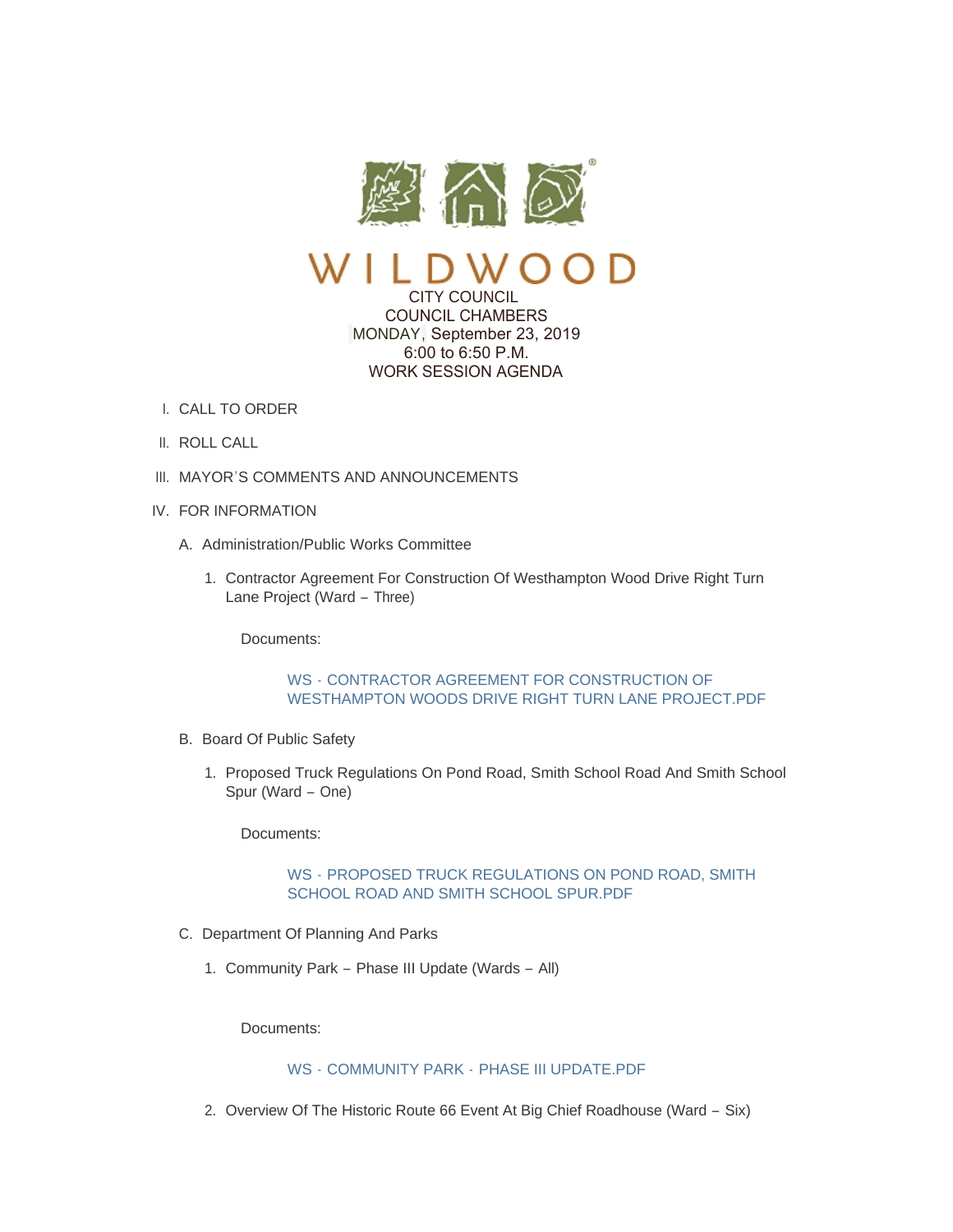



CITY COUNCIL COUNCIL CHAMBERS MONDAY, September 23, 2019 6:00 to 6:50 P.M. WORK SESSION AGENDA

- CALL TO ORDER I.
- II. ROLL CALL
- III. MAYOR'S COMMENTS AND ANNOUNCEMENTS
- IV. FOR INFORMATION
	- A. Administration/Public Works Committee
		- 1. Contractor Agreement For Construction Of Westhampton Wood Drive Right Turn Lane Project (Ward – Three)

Documents:

# WS - CONTRACTOR AGREEMENT FOR CONSTRUCTION OF [WESTHAMPTON WOODS DRIVE RIGHT TURN LANE PROJECT.PDF](https://www.cityofwildwood.com/AgendaCenter/ViewFile/Item/22061?fileID=27459)

- B. Board Of Public Safety
	- 1. Proposed Truck Regulations On Pond Road, Smith School Road And Smith School Spur (Ward – One)

Documents:

# WS - [PROPOSED TRUCK REGULATIONS ON POND ROAD, SMITH](https://www.cityofwildwood.com/AgendaCenter/ViewFile/Item/22063?fileID=27460)  SCHOOL ROAD AND SMITH SCHOOL SPUR.PDF

- C. Department Of Planning And Parks
	- 1. Community Park Phase III Update (Wards All)

Documents:

# WS - COMMUNITY PARK - [PHASE III UPDATE.PDF](https://www.cityofwildwood.com/AgendaCenter/ViewFile/Item/22065?fileID=27491)

2. Overview Of The Historic Route 66 Event At Big Chief Roadhouse (Ward - Six)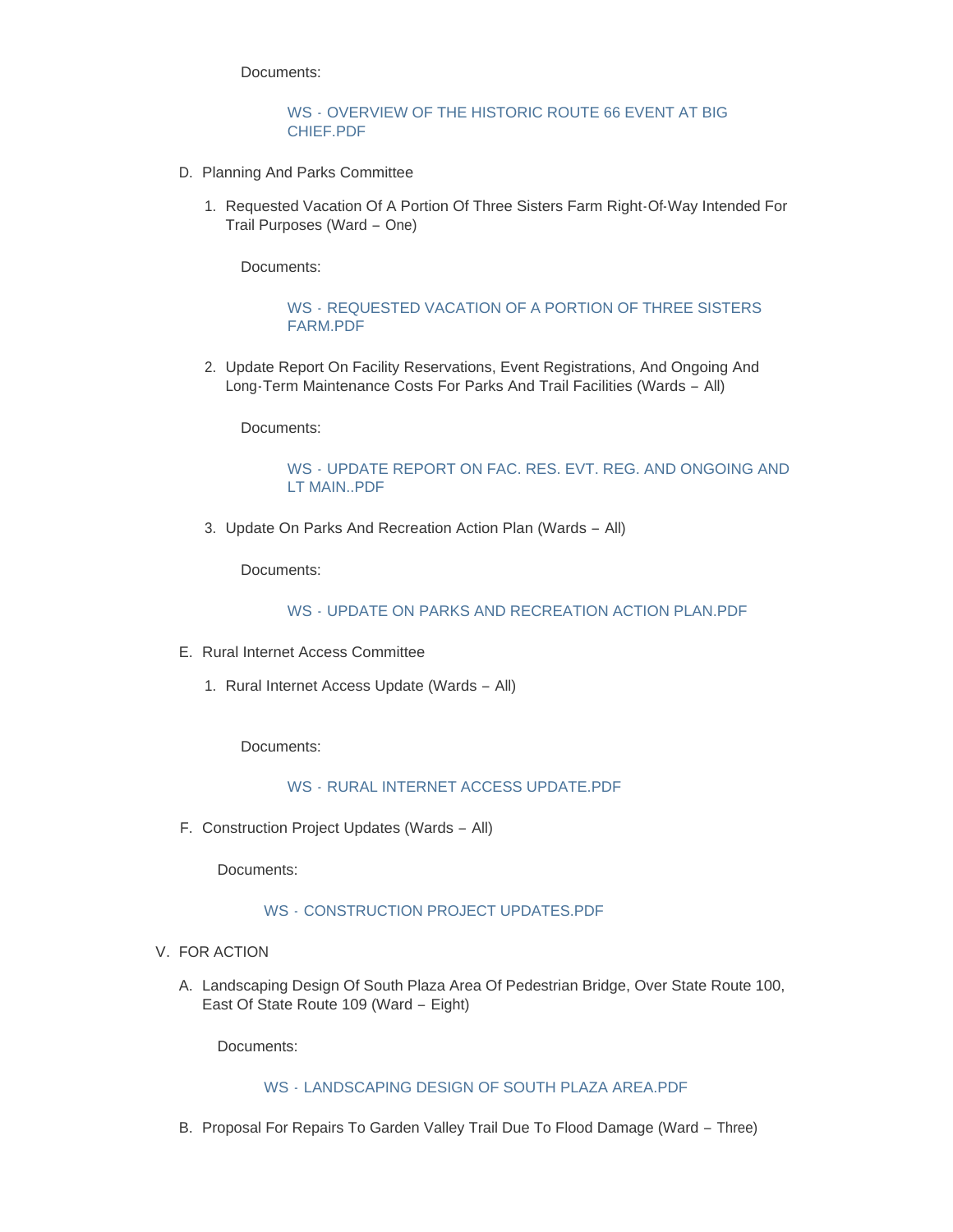Documents:

#### WS - [OVERVIEW OF THE HISTORIC ROUTE 66 EVENT AT BIG](https://www.cityofwildwood.com/AgendaCenter/ViewFile/Item/22066?fileID=27492)  CHIEF.PDF

- D. Planning And Parks Committee
	- 1. Requested Vacation Of A Portion Of Three Sisters Farm Right-Of-Way Intended For Trail Purposes (Ward – One)

Documents:

### WS - [REQUESTED VACATION OF A PORTION OF THREE SISTERS](https://www.cityofwildwood.com/AgendaCenter/ViewFile/Item/22068?fileID=27461)  FARM.PDF

2. Update Report On Facility Reservations, Event Registrations, And Ongoing And Long-Term Maintenance Costs For Parks And Trail Facilities (Wards – All)

Documents:

## WS - [UPDATE REPORT ON FAC. RES. EVT. REG. AND ONGOING AND](https://www.cityofwildwood.com/AgendaCenter/ViewFile/Item/22070?fileID=27462)  LT MAIN..PDF

3. Update On Parks And Recreation Action Plan (Wards - All)

Documents:

## WS - UPDATE ON PARKS AND RECREATION ACTION PLAN PDE

- E. Rural Internet Access Committee
	- 1. Rural Internet Access Update (Wards All)

Documents:

## WS - [RURAL INTERNET ACCESS UPDATE.PDF](https://www.cityofwildwood.com/AgendaCenter/ViewFile/Item/22076?fileID=27493)

F. Construction Project Updates (Wards - All)

Documents:

# WS - [CONSTRUCTION PROJECT UPDATES.PDF](https://www.cityofwildwood.com/AgendaCenter/ViewFile/Item/22078?fileID=27465)

## V. FOR ACTION

A. Landscaping Design Of South Plaza Area Of Pedestrian Bridge, Over State Route 100, East Of State Route 109 (Ward – Eight)

Documents:

### WS - [LANDSCAPING DESIGN OF SOUTH PLAZA AREA.PDF](https://www.cityofwildwood.com/AgendaCenter/ViewFile/Item/22080?fileID=27466)

B. Proposal For Repairs To Garden Valley Trail Due To Flood Damage (Ward - Three)